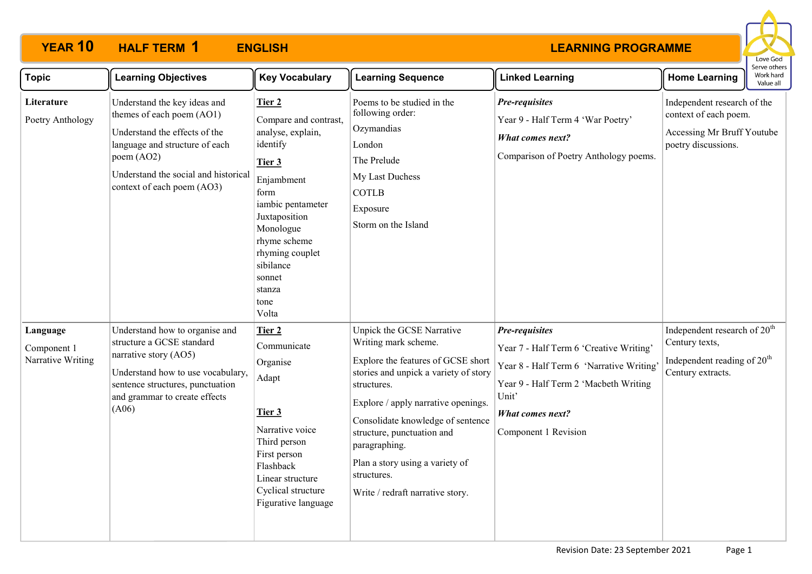

| Topic                                        | <b>Learning Objectives</b>                                                                                                                                                                                       | <b>Key Vocabulary</b>                                                                                                                                                                                                                    | <b>Learning Sequence</b>                                                                                                                                                                                                                                                                                                                                         | <b>Linked Learning</b>                                                                                                                                                                                     | <b>Home Learning</b>                                                                                                       | נו אב חוובו:<br>Work hard<br>Value all |
|----------------------------------------------|------------------------------------------------------------------------------------------------------------------------------------------------------------------------------------------------------------------|------------------------------------------------------------------------------------------------------------------------------------------------------------------------------------------------------------------------------------------|------------------------------------------------------------------------------------------------------------------------------------------------------------------------------------------------------------------------------------------------------------------------------------------------------------------------------------------------------------------|------------------------------------------------------------------------------------------------------------------------------------------------------------------------------------------------------------|----------------------------------------------------------------------------------------------------------------------------|----------------------------------------|
| Literature<br>Poetry Anthology               | Understand the key ideas and<br>themes of each poem (AO1)<br>Understand the effects of the<br>language and structure of each<br>poem (AO2)<br>Understand the social and historical<br>context of each poem (AO3) | Tier 2<br>Compare and contrast,<br>analyse, explain,<br>identify<br>Tier 3<br>Enjambment<br>form<br>iambic pentameter<br>Juxtaposition<br>Monologue<br>rhyme scheme<br>rhyming couplet<br>sibilance<br>sonnet<br>stanza<br>tone<br>Volta | Poems to be studied in the<br>following order:<br>Ozymandias<br>London<br>The Prelude<br>My Last Duchess<br><b>COTLB</b><br>Exposure<br>Storm on the Island                                                                                                                                                                                                      | Pre-requisites<br>Year 9 - Half Term 4 'War Poetry'<br><b>What comes next?</b><br>Comparison of Poetry Anthology poems.                                                                                    | Independent research of the<br>context of each poem.<br>Accessing Mr Bruff Youtube<br>poetry discussions.                  |                                        |
| Language<br>Component 1<br>Narrative Writing | Understand how to organise and<br>structure a GCSE standard<br>narrative story (AO5)<br>Understand how to use vocabulary,<br>sentence structures, punctuation<br>and grammar to create effects<br>(A06)          | Tier 2<br>Communicate<br>Organise<br>Adapt<br>Tier 3<br>Narrative voice<br>Third person<br>First person<br>Flashback<br>Linear structure<br>Cyclical structure<br>Figurative language                                                    | Unpick the GCSE Narrative<br>Writing mark scheme.<br>Explore the features of GCSE short<br>stories and unpick a variety of story<br>structures.<br>Explore / apply narrative openings.<br>Consolidate knowledge of sentence<br>structure, punctuation and<br>paragraphing.<br>Plan a story using a variety of<br>structures.<br>Write / redraft narrative story. | Pre-requisites<br>Year 7 - Half Term 6 'Creative Writing'<br>Year 8 - Half Term 6 'Narrative Writing'<br>Year 9 - Half Term 2 'Macbeth Writing<br>Unit'<br><b>What comes next?</b><br>Component 1 Revision | Independent research of 20 <sup>th</sup><br>Century texts,<br>Independent reading of 20 <sup>th</sup><br>Century extracts. |                                        |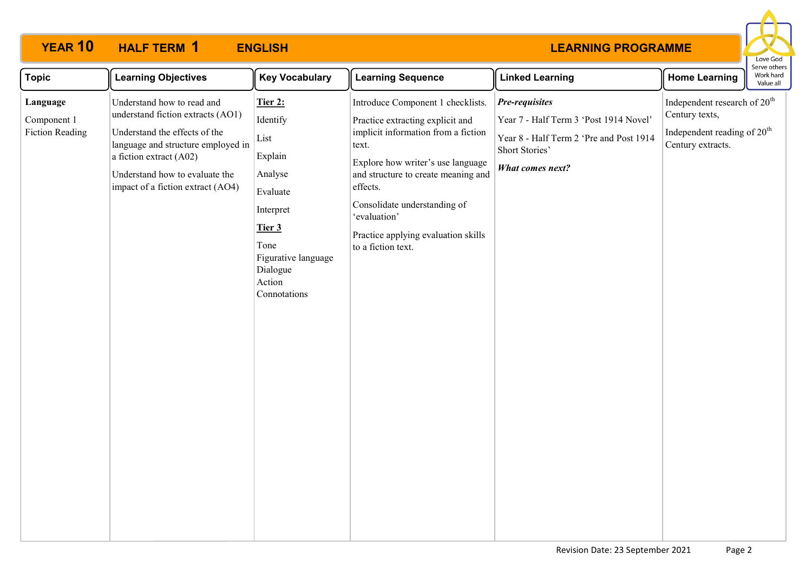

| <b>Topic</b>                                      | <b>Learning Objectives</b>                                                                                                                                                                                                               | <b>Key Vocabulary</b>                                                                                                                                            | <b>Learning Sequence</b>                                                                                                                                                                                                                                                                                                   | <b>Linked Learning</b>                                                                                                                                  | <b>Home Learning</b>                                                                                                       | ei ve otriers<br>Work hard<br>Value all |
|---------------------------------------------------|------------------------------------------------------------------------------------------------------------------------------------------------------------------------------------------------------------------------------------------|------------------------------------------------------------------------------------------------------------------------------------------------------------------|----------------------------------------------------------------------------------------------------------------------------------------------------------------------------------------------------------------------------------------------------------------------------------------------------------------------------|---------------------------------------------------------------------------------------------------------------------------------------------------------|----------------------------------------------------------------------------------------------------------------------------|-----------------------------------------|
| Language<br>Component 1<br><b>Fiction Reading</b> | Understand how to read and<br>understand fiction extracts (AO1)<br>Understand the effects of the<br>language and structure employed in<br>a fiction extract (A02)<br>Understand how to evaluate the<br>impact of a fiction extract (AO4) | <b>Tier 2:</b><br>Identify<br>List<br>Explain<br>Analyse<br>Evaluate<br>Interpret<br>Tier 3<br>Tone<br>Figurative language<br>Dialogue<br>Action<br>Connotations | Introduce Component 1 checklists.<br>Practice extracting explicit and<br>implicit information from a fiction<br>text.<br>Explore how writer's use language<br>and structure to create meaning and<br>effects.<br>Consolidate understanding of<br>'evaluation'<br>Practice applying evaluation skills<br>to a fiction text. | <b>Pre-requisites</b><br>Year 7 - Half Term 3 'Post 1914 Novel'<br>Year 8 - Half Term 2 'Pre and Post 1914<br>Short Stories'<br><b>What comes next?</b> | Independent research of 20 <sup>th</sup><br>Century texts,<br>Independent reading of 20 <sup>th</sup><br>Century extracts. |                                         |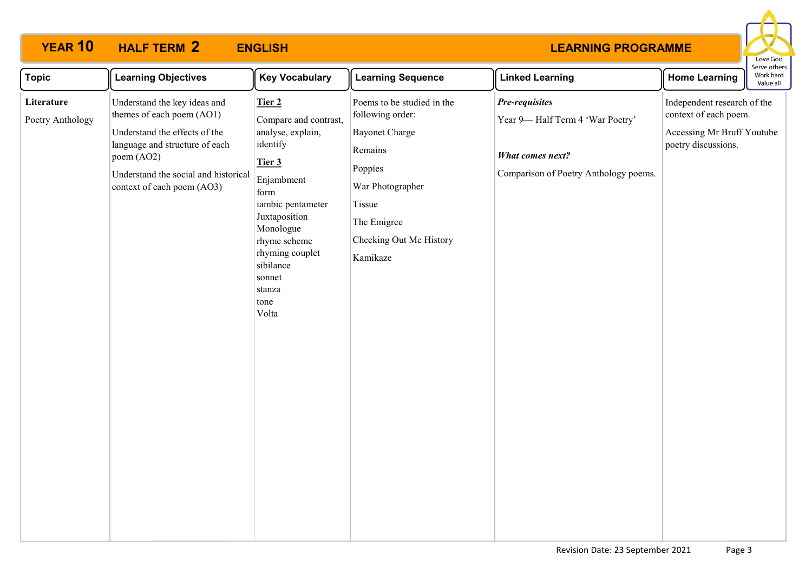

| <b>Topic</b>                   | <b>Learning Objectives</b>                                                                                                                                                                                       | <b>Key Vocabulary</b>                                                                                                                                                                                                                    | <b>Learning Sequence</b>                                                                                                                                                          | <b>Linked Learning</b>                                                                                         | <b>Home Learning</b>                                                                                      | Serve others<br>Work hard<br>Value all |
|--------------------------------|------------------------------------------------------------------------------------------------------------------------------------------------------------------------------------------------------------------|------------------------------------------------------------------------------------------------------------------------------------------------------------------------------------------------------------------------------------------|-----------------------------------------------------------------------------------------------------------------------------------------------------------------------------------|----------------------------------------------------------------------------------------------------------------|-----------------------------------------------------------------------------------------------------------|----------------------------------------|
| Literature<br>Poetry Anthology | Understand the key ideas and<br>themes of each poem (AO1)<br>Understand the effects of the<br>language and structure of each<br>poem (AO2)<br>Understand the social and historical<br>context of each poem (AO3) | Tier 2<br>Compare and contrast,<br>analyse, explain,<br>identify<br>Tier 3<br>Enjambment<br>form<br>iambic pentameter<br>Juxtaposition<br>Monologue<br>rhyme scheme<br>rhyming couplet<br>sibilance<br>sonnet<br>stanza<br>tone<br>Volta | Poems to be studied in the<br>following order:<br><b>Bayonet Charge</b><br>Remains<br>Poppies<br>War Photographer<br>Tissue<br>The Emigree<br>Checking Out Me History<br>Kamikaze | Pre-requisites<br>Year 9-Half Term 4 'War Poetry'<br>What comes next?<br>Comparison of Poetry Anthology poems. | Independent research of the<br>context of each poem.<br>Accessing Mr Bruff Youtube<br>poetry discussions. |                                        |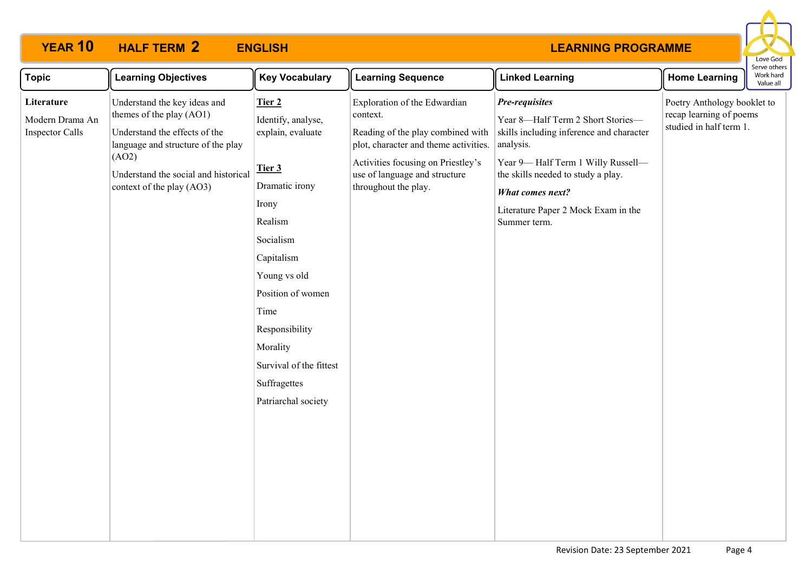

| Understand the key ideas and<br>Exploration of the Edwardian<br>Poetry Anthology booklet to<br>Literature<br>Pre-requisites<br>Tier 2<br>themes of the play (AO1)<br>recap learning of poems<br>context.<br>Identify, analyse,<br>Year 8-Half Term 2 Short Stories-<br>Modern Drama An<br>studied in half term 1.<br>skills including inference and character<br><b>Inspector Calls</b><br>Understand the effects of the<br>explain, evaluate<br>Reading of the play combined with<br>language and structure of the play<br>plot, character and theme activities.<br>analysis.<br>(AO2)<br>Year 9-Half Term 1 Willy Russell-<br>Activities focusing on Priestley's<br>Tier 3<br>Understand the social and historical<br>use of language and structure<br>the skills needed to study a play.<br>Dramatic irony<br>throughout the play.<br>context of the play (AO3)<br>What comes next?<br>Irony<br>Literature Paper 2 Mock Exam in the<br>Realism<br>Summer term.<br>Socialism<br>Capitalism<br>Young vs old<br>Position of women<br>Time<br>Responsibility<br>Morality<br>Survival of the fittest | <b>Topic</b> | <b>Learning Objectives</b> | <b>Key Vocabulary</b> | <b>Learning Sequence</b> | <b>Linked Learning</b> | <b>Home Learning</b> | serve other<br>Work hard<br>Value all |
|----------------------------------------------------------------------------------------------------------------------------------------------------------------------------------------------------------------------------------------------------------------------------------------------------------------------------------------------------------------------------------------------------------------------------------------------------------------------------------------------------------------------------------------------------------------------------------------------------------------------------------------------------------------------------------------------------------------------------------------------------------------------------------------------------------------------------------------------------------------------------------------------------------------------------------------------------------------------------------------------------------------------------------------------------------------------------------------------------|--------------|----------------------------|-----------------------|--------------------------|------------------------|----------------------|---------------------------------------|
| Patriarchal society                                                                                                                                                                                                                                                                                                                                                                                                                                                                                                                                                                                                                                                                                                                                                                                                                                                                                                                                                                                                                                                                                |              |                            | Suffragettes          |                          |                        |                      |                                       |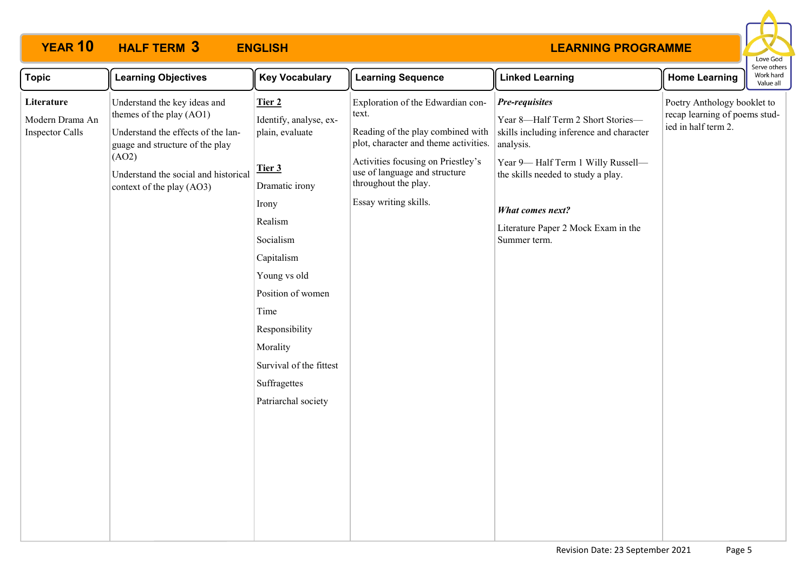

| <b>Topic</b>                                            | <b>Learning Objectives</b>                                                                                                                                                                                      | <b>Key Vocabulary</b>                                                                                                                                                                                                                                                       | <b>Learning Sequence</b>                                                                                                                                                                                                                         | <b>Linked Learning</b>                                                                                                                                                                                                                                                    | <b>Home Learning</b>                                                                | Work hard<br>Value all |
|---------------------------------------------------------|-----------------------------------------------------------------------------------------------------------------------------------------------------------------------------------------------------------------|-----------------------------------------------------------------------------------------------------------------------------------------------------------------------------------------------------------------------------------------------------------------------------|--------------------------------------------------------------------------------------------------------------------------------------------------------------------------------------------------------------------------------------------------|---------------------------------------------------------------------------------------------------------------------------------------------------------------------------------------------------------------------------------------------------------------------------|-------------------------------------------------------------------------------------|------------------------|
| Literature<br>Modern Drama An<br><b>Inspector Calls</b> | Understand the key ideas and<br>themes of the play (AO1)<br>Understand the effects of the lan-<br>guage and structure of the play<br>(AO2)<br>Understand the social and historical<br>context of the play (AO3) | Tier 2<br>Identify, analyse, ex-<br>plain, evaluate<br>Tier 3<br>Dramatic irony<br>Irony<br>Realism<br>Socialism<br>Capitalism<br>Young vs old<br>Position of women<br>Time<br>Responsibility<br>Morality<br>Survival of the fittest<br>Suffragettes<br>Patriarchal society | Exploration of the Edwardian con-<br>text.<br>Reading of the play combined with<br>plot, character and theme activities.<br>Activities focusing on Priestley's<br>use of language and structure<br>throughout the play.<br>Essay writing skills. | Pre-requisites<br>Year 8-Half Term 2 Short Stories-<br>skills including inference and character<br>analysis.<br>Year 9-Half Term 1 Willy Russell-<br>the skills needed to study a play.<br><b>What comes next?</b><br>Literature Paper 2 Mock Exam in the<br>Summer term. | Poetry Anthology booklet to<br>recap learning of poems stud-<br>ied in half term 2. |                        |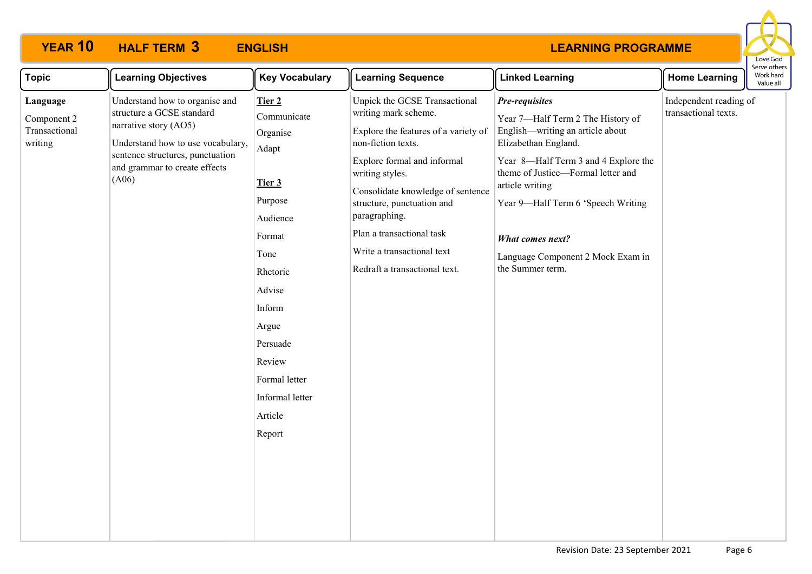

| <b>Topic</b>                                        | <b>Learning Objectives</b>                                                                                                                                                                              | <b>Key Vocabulary</b>                                                                                                                                                                                                 | <b>Learning Sequence</b>                                                                                                                                                                                                                                                                                                                              | <b>Linked Learning</b>                                                                                                                                                                                                                                                                                                                     | <b>Home Learning</b>                           | serve otrie<br>Work hard<br>Value all |
|-----------------------------------------------------|---------------------------------------------------------------------------------------------------------------------------------------------------------------------------------------------------------|-----------------------------------------------------------------------------------------------------------------------------------------------------------------------------------------------------------------------|-------------------------------------------------------------------------------------------------------------------------------------------------------------------------------------------------------------------------------------------------------------------------------------------------------------------------------------------------------|--------------------------------------------------------------------------------------------------------------------------------------------------------------------------------------------------------------------------------------------------------------------------------------------------------------------------------------------|------------------------------------------------|---------------------------------------|
| Language<br>Component 2<br>Transactional<br>writing | Understand how to organise and<br>structure a GCSE standard<br>narrative story (AO5)<br>Understand how to use vocabulary,<br>sentence structures, punctuation<br>and grammar to create effects<br>(A06) | Tier 2<br>Communicate<br>Organise<br>Adapt<br>Tier 3<br>Purpose<br>Audience<br>Format<br>Tone<br>Rhetoric<br>Advise<br>Inform<br>Argue<br>Persuade<br>Review<br>Formal letter<br>Informal letter<br>Article<br>Report | Unpick the GCSE Transactional<br>writing mark scheme.<br>Explore the features of a variety of<br>non-fiction texts.<br>Explore formal and informal<br>writing styles.<br>Consolidate knowledge of sentence<br>structure, punctuation and<br>paragraphing.<br>Plan a transactional task<br>Write a transactional text<br>Redraft a transactional text. | Pre-requisites<br>Year 7-Half Term 2 The History of<br>English—writing an article about<br>Elizabethan England.<br>Year 8-Half Term 3 and 4 Explore the<br>theme of Justice-Formal letter and<br>article writing<br>Year 9-Half Term 6 'Speech Writing<br><b>What comes next?</b><br>Language Component 2 Mock Exam in<br>the Summer term. | Independent reading of<br>transactional texts. |                                       |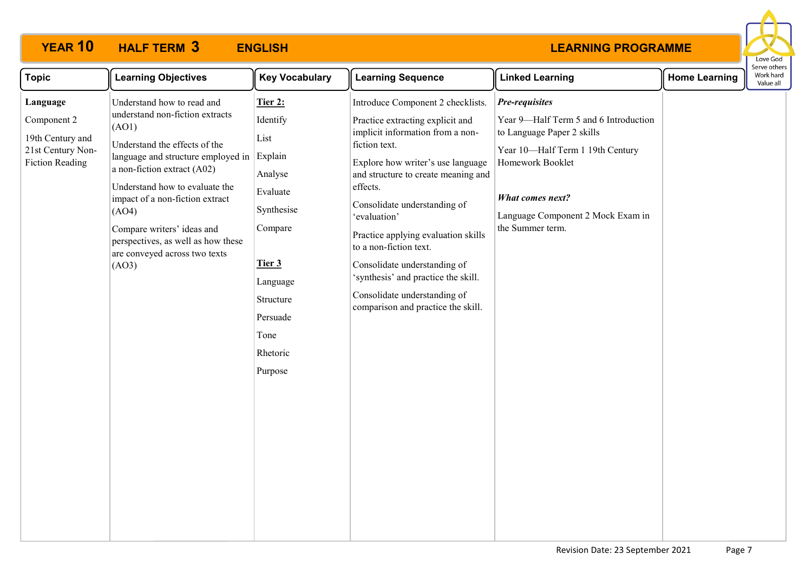

| <b>Topic</b>                                                                               | <b>Learning Objectives</b>                                                                                                                                                                                                                                                                                                                                               | <b>Key Vocabulary</b>                                                                                                                                                | <b>Learning Sequence</b>                                                                                                                                                                                                                                                                                                                                                                                                                                                         | <b>Linked Learning</b>                                                                                                                                                                                                            | <b>Home Learning</b> | Serve others<br>Work hard<br>Value all |
|--------------------------------------------------------------------------------------------|--------------------------------------------------------------------------------------------------------------------------------------------------------------------------------------------------------------------------------------------------------------------------------------------------------------------------------------------------------------------------|----------------------------------------------------------------------------------------------------------------------------------------------------------------------|----------------------------------------------------------------------------------------------------------------------------------------------------------------------------------------------------------------------------------------------------------------------------------------------------------------------------------------------------------------------------------------------------------------------------------------------------------------------------------|-----------------------------------------------------------------------------------------------------------------------------------------------------------------------------------------------------------------------------------|----------------------|----------------------------------------|
| Language<br>Component 2<br>19th Century and<br>21st Century Non-<br><b>Fiction Reading</b> | Understand how to read and<br>understand non-fiction extracts<br>(AO1)<br>Understand the effects of the<br>language and structure employed in<br>a non-fiction extract (A02)<br>Understand how to evaluate the<br>impact of a non-fiction extract<br>(AO4)<br>Compare writers' ideas and<br>perspectives, as well as how these<br>are conveyed across two texts<br>(AO3) | Tier 2:<br>Identify<br>List<br>Explain<br>Analyse<br>Evaluate<br>Synthesise<br>Compare<br>Tier 3<br>Language<br>Structure<br>Persuade<br>Tone<br>Rhetoric<br>Purpose | Introduce Component 2 checklists.<br>Practice extracting explicit and<br>implicit information from a non-<br>fiction text.<br>Explore how writer's use language<br>and structure to create meaning and<br>effects.<br>Consolidate understanding of<br>'evaluation'<br>Practice applying evaluation skills<br>to a non-fiction text.<br>Consolidate understanding of<br>'synthesis' and practice the skill.<br>Consolidate understanding of<br>comparison and practice the skill. | Pre-requisites<br>Year 9-Half Term 5 and 6 Introduction<br>to Language Paper 2 skills<br>Year 10-Half Term 1 19th Century<br>Homework Booklet<br><b>What comes next?</b><br>Language Component 2 Mock Exam in<br>the Summer term. |                      |                                        |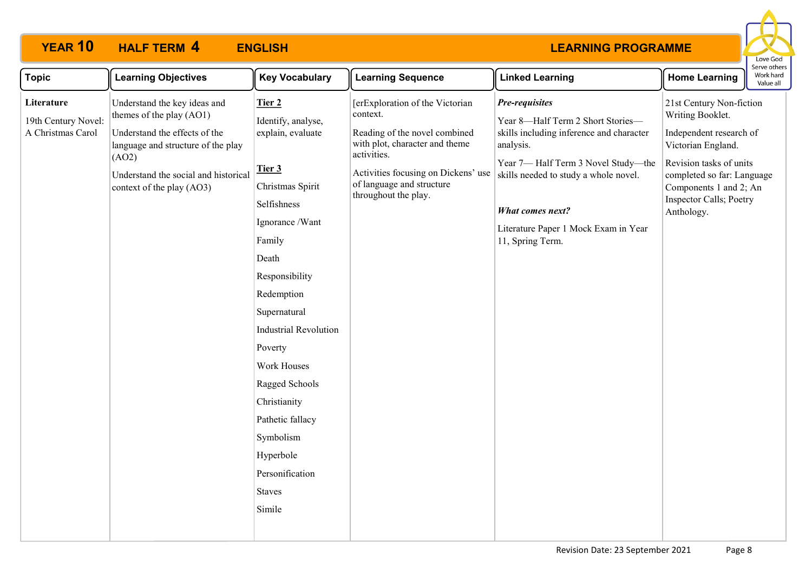

| <b>Topic</b>                                                    | <b>Learning Objectives</b>                                                                                                                                                                           | <b>Key Vocabulary</b>                                                                                                                                                                                                                                                                                                                                                        | <b>Learning Sequence</b>                                                                                                                                                                                                  | <b>Linked Learning</b>                                                                                                                                                                                                                                                             | <b>Home Learning</b>                                                                                                                                                                                                      | serve otner<br>Work hard<br>Value all |
|-----------------------------------------------------------------|------------------------------------------------------------------------------------------------------------------------------------------------------------------------------------------------------|------------------------------------------------------------------------------------------------------------------------------------------------------------------------------------------------------------------------------------------------------------------------------------------------------------------------------------------------------------------------------|---------------------------------------------------------------------------------------------------------------------------------------------------------------------------------------------------------------------------|------------------------------------------------------------------------------------------------------------------------------------------------------------------------------------------------------------------------------------------------------------------------------------|---------------------------------------------------------------------------------------------------------------------------------------------------------------------------------------------------------------------------|---------------------------------------|
| Literature<br>19th Century Novel:<br>A Christmas Carol<br>(AO2) | Understand the key ideas and<br>themes of the play (AO1)<br>Understand the effects of the<br>language and structure of the play<br>Understand the social and historical<br>context of the play (AO3) | Tier 2<br>Identify, analyse,<br>explain, evaluate<br>Tier 3<br>Christmas Spirit<br>Selfishness<br>Ignorance /Want<br>Family<br>Death<br>Responsibility<br>Redemption<br>Supernatural<br><b>Industrial Revolution</b><br>Poverty<br>Work Houses<br>Ragged Schools<br>Christianity<br>Pathetic fallacy<br>Symbolism<br>Hyperbole<br>Personification<br><b>Staves</b><br>Simile | [erExploration of the Victorian<br>context.<br>Reading of the novel combined<br>with plot, character and theme<br>activities.<br>Activities focusing on Dickens' use<br>of language and structure<br>throughout the play. | Pre-requisites<br>Year 8-Half Term 2 Short Stories-<br>skills including inference and character<br>analysis.<br>Year 7-Half Term 3 Novel Study-the<br>skills needed to study a whole novel.<br><b>What comes next?</b><br>Literature Paper 1 Mock Exam in Year<br>11, Spring Term. | 21st Century Non-fiction<br>Writing Booklet.<br>Independent research of<br>Victorian England.<br>Revision tasks of units<br>completed so far: Language<br>Components 1 and 2; An<br>Inspector Calls; Poetry<br>Anthology. |                                       |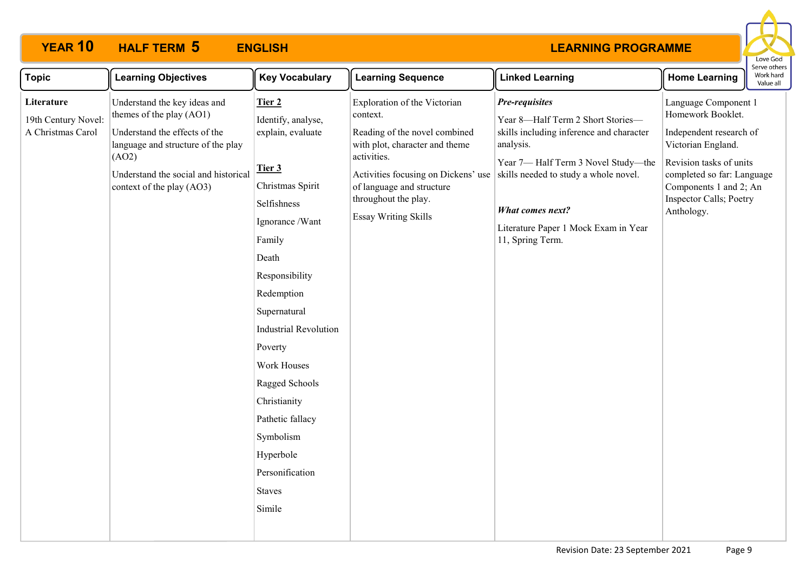

| <b>Topic</b>                                           | <b>Learning Objectives</b>                                                                                                                                                                                    | <b>Key Vocabulary</b>                                                                                                                                                                                                                                                                                                                                                        | <b>Learning Sequence</b>                                                                                                                                                                                                                              | <b>Linked Learning</b>                                                                                                                                                                                                                                                             | <b>Home Learning</b>                                                                                                                                                                                                   | וסו עם טנוופו<br>Work hard<br>Value all |
|--------------------------------------------------------|---------------------------------------------------------------------------------------------------------------------------------------------------------------------------------------------------------------|------------------------------------------------------------------------------------------------------------------------------------------------------------------------------------------------------------------------------------------------------------------------------------------------------------------------------------------------------------------------------|-------------------------------------------------------------------------------------------------------------------------------------------------------------------------------------------------------------------------------------------------------|------------------------------------------------------------------------------------------------------------------------------------------------------------------------------------------------------------------------------------------------------------------------------------|------------------------------------------------------------------------------------------------------------------------------------------------------------------------------------------------------------------------|-----------------------------------------|
| Literature<br>19th Century Novel:<br>A Christmas Carol | Understand the key ideas and<br>themes of the play (AO1)<br>Understand the effects of the<br>language and structure of the play<br>(AO2)<br>Understand the social and historical<br>context of the play (AO3) | Tier 2<br>Identify, analyse,<br>explain, evaluate<br>Tier 3<br>Christmas Spirit<br>Selfishness<br>Ignorance /Want<br>Family<br>Death<br>Responsibility<br>Redemption<br>Supernatural<br><b>Industrial Revolution</b><br>Poverty<br>Work Houses<br>Ragged Schools<br>Christianity<br>Pathetic fallacy<br>Symbolism<br>Hyperbole<br>Personification<br><b>Staves</b><br>Simile | Exploration of the Victorian<br>context.<br>Reading of the novel combined<br>with plot, character and theme<br>activities.<br>Activities focusing on Dickens' use<br>of language and structure<br>throughout the play.<br><b>Essay Writing Skills</b> | Pre-requisites<br>Year 8-Half Term 2 Short Stories-<br>skills including inference and character<br>analysis.<br>Year 7-Half Term 3 Novel Study-the<br>skills needed to study a whole novel.<br><b>What comes next?</b><br>Literature Paper 1 Mock Exam in Year<br>11, Spring Term. | Language Component 1<br>Homework Booklet.<br>Independent research of<br>Victorian England.<br>Revision tasks of units<br>completed so far: Language<br>Components 1 and 2; An<br>Inspector Calls; Poetry<br>Anthology. |                                         |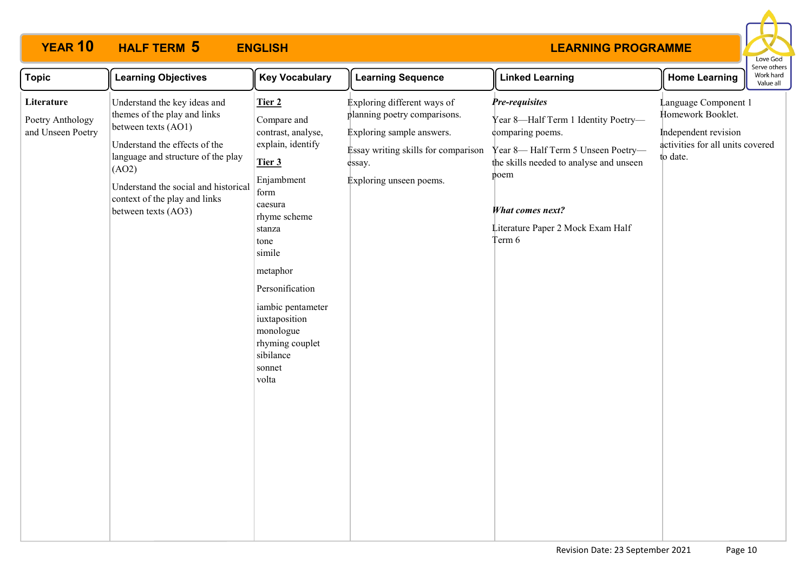

| <b>Topic</b>                                        | <b>Learning Objectives</b>                                                                                                                                                                                                                                          | <b>Key Vocabulary</b>                                                                                                                                                                                                                                                                        | <b>Learning Sequence</b>                                                                                                                                             | <b>Linked Learning</b>                                                                                                                                                                                                               | <b>Home Learning</b>                                                                                              | serve other:<br>Work hard<br>Value all |
|-----------------------------------------------------|---------------------------------------------------------------------------------------------------------------------------------------------------------------------------------------------------------------------------------------------------------------------|----------------------------------------------------------------------------------------------------------------------------------------------------------------------------------------------------------------------------------------------------------------------------------------------|----------------------------------------------------------------------------------------------------------------------------------------------------------------------|--------------------------------------------------------------------------------------------------------------------------------------------------------------------------------------------------------------------------------------|-------------------------------------------------------------------------------------------------------------------|----------------------------------------|
| Literature<br>Poetry Anthology<br>and Unseen Poetry | Understand the key ideas and<br>themes of the play and links<br>between texts (AO1)<br>Understand the effects of the<br>language and structure of the play<br>(AO2)<br>Understand the social and historical<br>context of the play and links<br>between texts (AO3) | Tier 2<br>Compare and<br>contrast, analyse,<br>explain, identify<br>Tier 3<br>Enjambment<br>form<br>caesura<br>rhyme scheme<br>stanza<br>tone<br>simile<br>metaphor<br>Personification<br>iambic pentameter<br>iuxtaposition<br>monologue<br>rhyming couplet<br>sibilance<br>sonnet<br>volta | Exploring different ways of<br>planning poetry comparisons.<br>Exploring sample answers.<br>Essay writing skills for comparison<br>essay.<br>Exploring unseen poems. | Pre-requisites<br>Year 8-Half Term 1 Identity Poetry-<br>comparing poems.<br>Year 8-Half Term 5 Unseen Poetry-<br>the skills needed to analyse and unseen<br>poem<br>What comes next?<br>Literature Paper 2 Mock Exam Half<br>Term 6 | Language Component 1<br>Homework Booklet.<br>Independent revision<br>activities for all units covered<br>to date. |                                        |